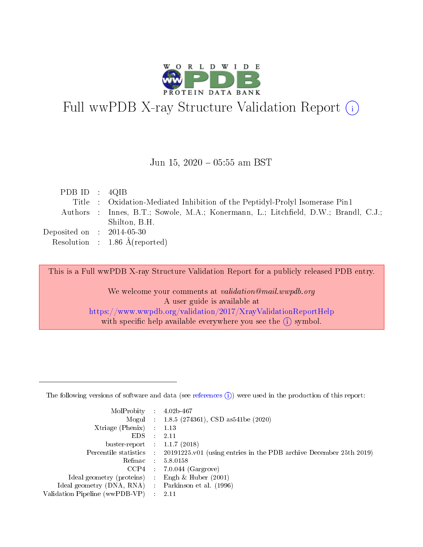

# Full wwPDB X-ray Structure Validation Report (i)

#### Jun 15,  $2020 - 05:55$  am BST

| PDB ID : $4QIB$ |  |                                                                                     |
|-----------------|--|-------------------------------------------------------------------------------------|
|                 |  | Title : Oxidation-Mediated Inhibition of the Peptidyl-Prolyl Isomerase Pin1         |
|                 |  | Authors : Innes, B.T.; Sowole, M.A.; Konermann, L.; Litchfield, D.W.; Brandl, C.J.; |
|                 |  | Shilton, B.H.                                                                       |
|                 |  | Deposited on $\,$ : 2014-05-30 $\,$                                                 |
|                 |  | Resolution : $1.86 \text{ Å}$ (reported)                                            |

This is a Full wwPDB X-ray Structure Validation Report for a publicly released PDB entry.

We welcome your comments at validation@mail.wwpdb.org A user guide is available at <https://www.wwpdb.org/validation/2017/XrayValidationReportHelp> with specific help available everywhere you see the  $(i)$  symbol.

The following versions of software and data (see [references](https://www.wwpdb.org/validation/2017/XrayValidationReportHelp#references)  $(1)$ ) were used in the production of this report:

| MolProbity                     | $\mathcal{L}_{\rm{max}}$ | $4.02b - 467$                                                                |
|--------------------------------|--------------------------|------------------------------------------------------------------------------|
|                                |                          | Mogul : $1.8.5$ (274361), CSD as 541be (2020)                                |
| $X$ triage (Phenix) :          |                          | 1.13                                                                         |
| EDS.                           |                          | 2.11                                                                         |
| buster-report : $1.1.7$ (2018) |                          |                                                                              |
| Percentile statistics :        |                          | $20191225 \text{ v}01$ (using entries in the PDB archive December 25th 2019) |
| Refmac                         |                          | 5.8.0158                                                                     |
| $CCP4$ :                       |                          | $7.0.044$ (Gargrove)                                                         |
| Ideal geometry (proteins) :    |                          | Engh $\&$ Huber (2001)                                                       |
| Ideal geometry (DNA, RNA) :    |                          | Parkinson et al. (1996)                                                      |
| Validation Pipeline (wwPDB-VP) | $\mathcal{L}$            | -2.11                                                                        |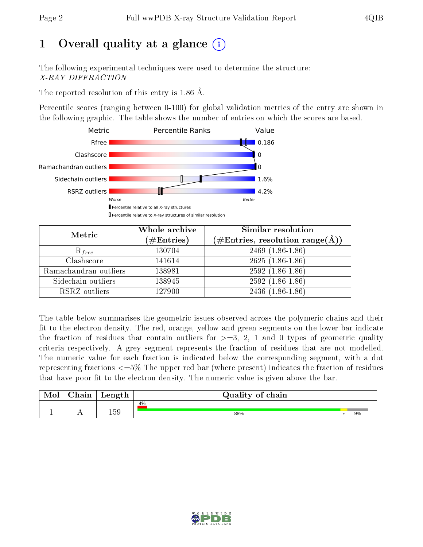## 1 [O](https://www.wwpdb.org/validation/2017/XrayValidationReportHelp#overall_quality)verall quality at a glance  $(i)$

The following experimental techniques were used to determine the structure: X-RAY DIFFRACTION

The reported resolution of this entry is 1.86 Å.

Percentile scores (ranging between 0-100) for global validation metrics of the entry are shown in the following graphic. The table shows the number of entries on which the scores are based.



| Metric                | Whole archive<br>$(\#\mathrm{Entries})$ | Similar resolution<br>$(\#\text{Entries},\, \text{resolution}\; \text{range}(\textup{\AA}))$ |
|-----------------------|-----------------------------------------|----------------------------------------------------------------------------------------------|
| $R_{free}$            | 130704                                  | $2469$ $(1.86-1.86)$                                                                         |
| Clashscore            | 141614                                  | $2625(1.86-1.86)$                                                                            |
| Ramachandran outliers | 138981                                  | $2592(1.86-1.86)$                                                                            |
| Sidechain outliers    | 138945                                  | $2592(1.86-1.86)$                                                                            |
| RSRZ outliers         | 127900                                  | $2436(1.86-1.86)$                                                                            |

The table below summarises the geometric issues observed across the polymeric chains and their fit to the electron density. The red, orange, yellow and green segments on the lower bar indicate the fraction of residues that contain outliers for  $>=3, 2, 1$  and 0 types of geometric quality criteria respectively. A grey segment represents the fraction of residues that are not modelled. The numeric value for each fraction is indicated below the corresponding segment, with a dot representing fractions  $\epsilon=5\%$  The upper red bar (where present) indicates the fraction of residues that have poor fit to the electron density. The numeric value is given above the bar.

| Mol | $\sim$ 1<br>hain | Length | Quality of chain |  |    |  |  |  |  |  |
|-----|------------------|--------|------------------|--|----|--|--|--|--|--|
| д.  | . .              | 159    | 4%<br>88%        |  | 9% |  |  |  |  |  |

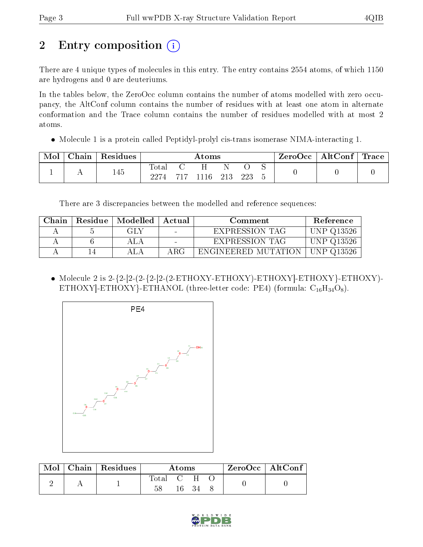## 2 Entry composition (i)

There are 4 unique types of molecules in this entry. The entry contains 2554 atoms, of which 1150 are hydrogens and 0 are deuteriums.

In the tables below, the ZeroOcc column contains the number of atoms modelled with zero occupancy, the AltConf column contains the number of residues with at least one atom in alternate conformation and the Trace column contains the number of residues modelled with at most 2 atoms.

• Molecule 1 is a protein called Peptidyl-prolyl cis-trans isomerase NIMA-interacting 1.

| Mol | ${\rm Chain}$ | Residues | $\rm{Atoms}$        |  |              |  |     | ZeroOcc | AltConf | $^\top$ Trace |  |
|-----|---------------|----------|---------------------|--|--------------|--|-----|---------|---------|---------------|--|
|     |               | 145      | $\rm Total$<br>2274 |  | 717 1116 213 |  | 223 |         |         |               |  |

There are 3 discrepancies between the modelled and reference sequences:

| Chain | Residue   Modelled   Actual |                          | Comment               | Reference  |
|-------|-----------------------------|--------------------------|-----------------------|------------|
|       | GLY                         | $\sim$                   | EXPRESSION TAG        | UNP Q13526 |
|       | ALA                         | $\overline{\phantom{0}}$ | <b>EXPRESSION TAG</b> | UNP Q13526 |
|       |                             | ABC                      | ENGINEERED MUTATION   | UNP Q13526 |

 Molecule 2 is 2-{2-[2-(2-{2-[2-(2-ETHOXY-ETHOXY)-ETHOXY]-ETHOXY}-ETHOXY)- ETHOXY]-ETHOXY}-ETHANOL (three-letter code: PE4) (formula:  $C_{16}H_{34}O_8$ ).



| Mol | $\mid$ Chain $\mid$ Residues | Atoms       |              |     |  | $ZeroOcc$   AltConf |
|-----|------------------------------|-------------|--------------|-----|--|---------------------|
|     |                              | $\rm Total$ | $\mathbf{C}$ |     |  |                     |
|     |                              |             | 16.          | -34 |  |                     |

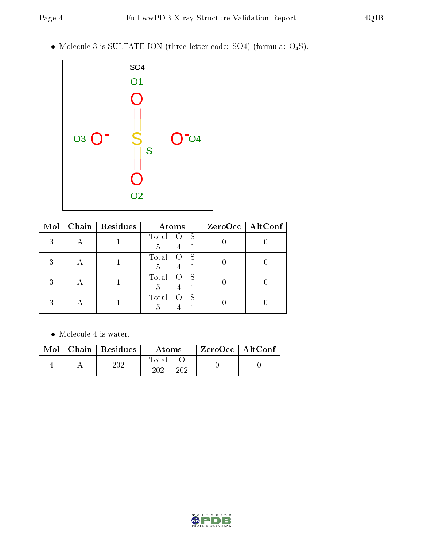Molecule 3 is SULFATE ION (three-letter code: SO4) (formula: O4S).



| Mol | Chain   Residues | Atoms            | $ZeroOcc$   AltConf |
|-----|------------------|------------------|---------------------|
| 3   |                  | Total<br>S<br>5  |                     |
| 3   |                  | Total<br>S<br>5  |                     |
| 3   |                  | Total<br>S<br>5  |                     |
| 2   |                  | Total<br>S<br>.h |                     |

• Molecule 4 is water.

|  | $\text{Mol}$   Chain   Residues | Atoms               | ZeroOcc   AltConf |  |
|--|---------------------------------|---------------------|-------------------|--|
|  | 202                             | Total<br>202<br>202 |                   |  |

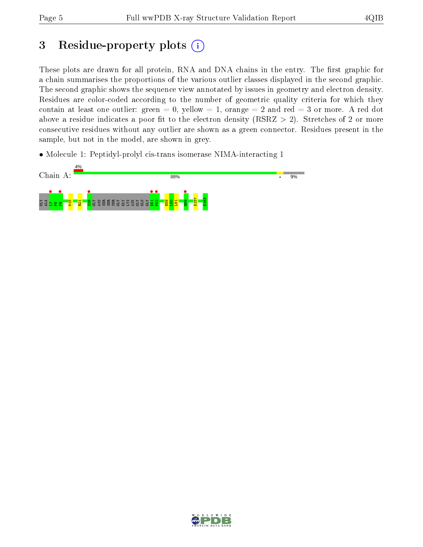## 3 Residue-property plots  $(i)$

These plots are drawn for all protein, RNA and DNA chains in the entry. The first graphic for a chain summarises the proportions of the various outlier classes displayed in the second graphic. The second graphic shows the sequence view annotated by issues in geometry and electron density. Residues are color-coded according to the number of geometric quality criteria for which they contain at least one outlier: green  $= 0$ , yellow  $= 1$ , orange  $= 2$  and red  $= 3$  or more. A red dot above a residue indicates a poor fit to the electron density (RSRZ  $> 2$ ). Stretches of 2 or more consecutive residues without any outlier are shown as a green connector. Residues present in the sample, but not in the model, are shown in grey.

• Molecule 1: Peptidyl-prolyl cis-trans isomerase NIMA-interacting 1



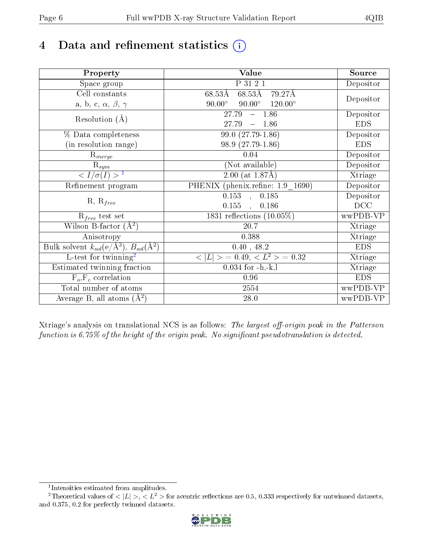## 4 Data and refinement statistics  $(i)$

| Property                                                   | Value                                              | Source     |
|------------------------------------------------------------|----------------------------------------------------|------------|
| Space group                                                | P 31 2 1                                           | Depositor  |
| Cell constants                                             | $68.53\text{\AA}$<br>$68.53\text{\AA}$<br>79.27Å   |            |
| a, b, c, $\alpha$ , $\beta$ , $\gamma$                     | $90.00^\circ$<br>$90.00^\circ$<br>$120.00^{\circ}$ | Depositor  |
| Resolution $(A)$                                           | 27.79<br>$-1.86$                                   | Depositor  |
|                                                            | 27.79<br>$-1.86$                                   | <b>EDS</b> |
| % Data completeness                                        | 99.0 (27.79-1.86)                                  | Depositor  |
| (in resolution range)                                      | 98.9 (27.79-1.86)                                  | <b>EDS</b> |
| $\mathrm{R}_{merge}$                                       | 0.04                                               | Depositor  |
| $\mathrm{R}_{sym}$                                         | (Not available)                                    | Depositor  |
| $\sqrt{I/\sigma(I)} > 1$                                   | $2.00$ (at 1.87Å)                                  | Xtriage    |
| Refinement program                                         | PHENIX (phenix.refine: 1.9 1690)                   | Depositor  |
|                                                            | $\overline{0.153}$ ,<br>0.185                      | Depositor  |
| $R, R_{free}$                                              | 0.155<br>0.186<br>$\ddot{\phantom{a}}$             | DCC        |
| $R_{free}$ test set                                        | 1831 reflections $(10.05\%)$                       | wwPDB-VP   |
| Wilson B-factor $(A^2)$                                    | 20.7                                               | Xtriage    |
| Anisotropy                                                 | 0.388                                              | Xtriage    |
| Bulk solvent $k_{sol}$ (e/Å <sup>3</sup> ), $B_{sol}(A^2)$ | 0.40, 48.2                                         | <b>EDS</b> |
| $\overline{L-test for}$ twinning <sup>2</sup>              | $< L >$ = 0.49, $< L^2 >$ = 0.32                   | Xtriage    |
| Estimated twinning fraction                                | $0.034$ for $-h,-k,l$                              | Xtriage    |
| $F_o, F_c$ correlation                                     | 0.96                                               | <b>EDS</b> |
| Total number of atoms                                      | 2554                                               | wwPDB-VP   |
| Average B, all atoms $(A^2)$                               | 28.0                                               | wwPDB-VP   |

Xtriage's analysis on translational NCS is as follows: The largest off-origin peak in the Patterson function is  $6.75\%$  of the height of the origin peak. No significant pseudotranslation is detected.

<sup>&</sup>lt;sup>2</sup>Theoretical values of  $\langle |L| \rangle$ ,  $\langle L^2 \rangle$  for acentric reflections are 0.5, 0.333 respectively for untwinned datasets, and 0.375, 0.2 for perfectly twinned datasets.



<span id="page-5-1"></span><span id="page-5-0"></span><sup>1</sup> Intensities estimated from amplitudes.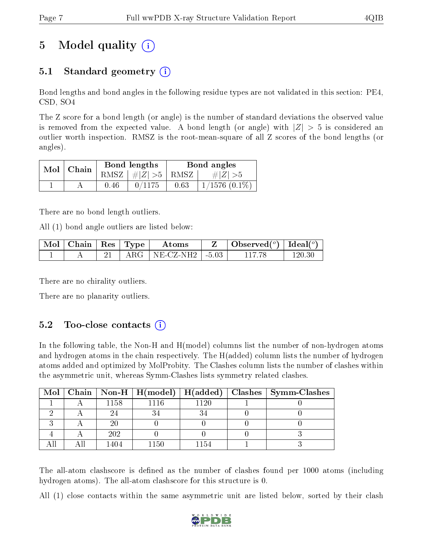## 5 Model quality  $(i)$

### 5.1 Standard geometry  $(i)$

Bond lengths and bond angles in the following residue types are not validated in this section: PE4, CSD, SO4

The Z score for a bond length (or angle) is the number of standard deviations the observed value is removed from the expected value. A bond length (or angle) with  $|Z| > 5$  is considered an outlier worth inspection. RMSZ is the root-mean-square of all Z scores of the bond lengths (or angles).

| $Mol$   Chain |      | Bond lengths                            | Bond angles |                    |  |
|---------------|------|-----------------------------------------|-------------|--------------------|--|
|               |      | RMSZ $\mid \#  Z  > 5 \mid$ RMSZ $\mid$ |             | $\# Z  > 5$        |  |
|               | 0.46 | 0/1175                                  | 0.63        | $1/1576$ $(0.1\%)$ |  |

There are no bond length outliers.

All (1) bond angle outliers are listed below:

| Mol | Chain | $\mid$ Res $\mid$ Type | Atoms        |         | $\vert$ Observed $(^\text{o})$ $\vert$ | Ideal( $^{\circ}$ ) |
|-----|-------|------------------------|--------------|---------|----------------------------------------|---------------------|
|     |       | A ROT                  | $NE\_CZ-NH2$ | $-5.03$ |                                        |                     |

There are no chirality outliers.

There are no planarity outliers.

#### $5.2$  Too-close contacts  $(i)$

In the following table, the Non-H and H(model) columns list the number of non-hydrogen atoms and hydrogen atoms in the chain respectively. The H(added) column lists the number of hydrogen atoms added and optimized by MolProbity. The Clashes column lists the number of clashes within the asymmetric unit, whereas Symm-Clashes lists symmetry related clashes.

|  |      |          |      | Mol   Chain   Non-H   H(model)   H(added)   Clashes   Symm-Clashes |
|--|------|----------|------|--------------------------------------------------------------------|
|  | 1158 | 1116     | 1120 |                                                                    |
|  |      |          |      |                                                                    |
|  |      |          |      |                                                                    |
|  | 202  |          |      |                                                                    |
|  |      | $1150\,$ | 1154 |                                                                    |

The all-atom clashscore is defined as the number of clashes found per 1000 atoms (including hydrogen atoms). The all-atom clashscore for this structure is 0.

All (1) close contacts within the same asymmetric unit are listed below, sorted by their clash

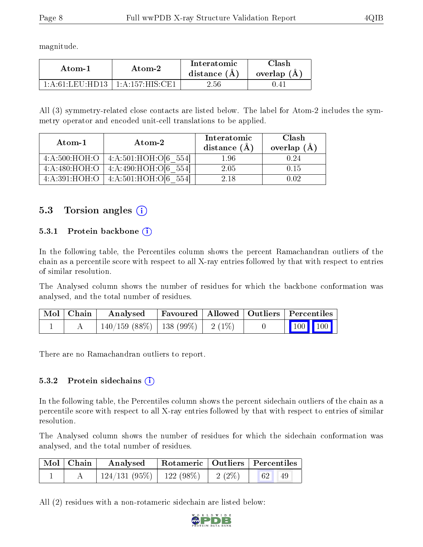magnitude.

| Atom-1          | Atom-2                         | Interatomic<br>distance $(A)$ | `lash<br>overlap $(A)$ |  |
|-----------------|--------------------------------|-------------------------------|------------------------|--|
| 1 A 61 LEH HD13 | $+1.4.157 \cdot HIS \cdot CH1$ | $2.56\,$                      |                        |  |

All (3) symmetry-related close contacts are listed below. The label for Atom-2 includes the symmetry operator and encoded unit-cell translations to be applied.

| Atom-1        | Atom-2                               | Interatomic<br>distance $(\AA)$ | Clash<br>overlap $(A)$ |  |
|---------------|--------------------------------------|---------------------------------|------------------------|--|
| 4:A:500:HOH:O | 4: A:501:HOH:O[6 554]                | $1.96\,$                        | N 24                   |  |
| 4:A:480:HOH:O | 4:A:490:HOH:O[6 554]                 | 2.05                            | 0.15                   |  |
|               | 4:A:391:HOH:O   4:A:501:HOH:O[6 554] | 2.18                            | በ በ2                   |  |

#### 5.3 Torsion angles  $(i)$

#### 5.3.1 Protein backbone (i)

In the following table, the Percentiles column shows the percent Ramachandran outliers of the chain as a percentile score with respect to all X-ray entries followed by that with respect to entries of similar resolution.

The Analysed column shows the number of residues for which the backbone conformation was analysed, and the total number of residues.

| Mol   Chain | Analysed                                |  | Favoured   Allowed   Outliers   Percentiles                             |
|-------------|-----------------------------------------|--|-------------------------------------------------------------------------|
|             | $140/159$ (88\%)   138 (99\%)   2 (1\%) |  | $\begin{array}{ c c c c c }\n\hline\n100 & 100 & \\\hline\n\end{array}$ |

There are no Ramachandran outliers to report.

#### 5.3.2 Protein sidechains  $(i)$

In the following table, the Percentiles column shows the percent sidechain outliers of the chain as a percentile score with respect to all X-ray entries followed by that with respect to entries of similar resolution.

The Analysed column shows the number of residues for which the sidechain conformation was analysed, and the total number of residues.

| Mol   Chain | Analysed   Rotameric   Outliers   Percentiles |  |                        |  |
|-------------|-----------------------------------------------|--|------------------------|--|
|             | $124/131(95\%)$   122 (98\%)   2 (2\%)        |  | 62 <sup>1</sup><br>-49 |  |

All (2) residues with a non-rotameric sidechain are listed below:

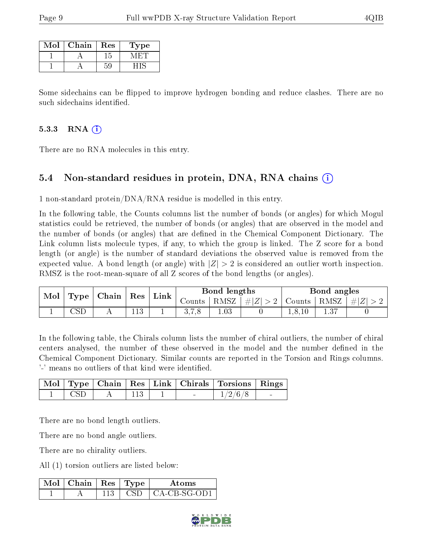| Mol | Chain | $\operatorname{Res}% \left( \mathcal{N}\right) \equiv\operatorname{Res}(\mathcal{N}_{0},\mathcal{N}_{0})$ | ype |
|-----|-------|-----------------------------------------------------------------------------------------------------------|-----|
|     |       |                                                                                                           |     |
|     |       |                                                                                                           |     |

Some sidechains can be flipped to improve hydrogen bonding and reduce clashes. There are no such sidechains identified.

#### 5.3.3 RNA (1)

There are no RNA molecules in this entry.

#### 5.4 Non-standard residues in protein, DNA, RNA chains (i)

1 non-standard protein/DNA/RNA residue is modelled in this entry.

In the following table, the Counts columns list the number of bonds (or angles) for which Mogul statistics could be retrieved, the number of bonds (or angles) that are observed in the model and the number of bonds (or angles) that are dened in the Chemical Component Dictionary. The Link column lists molecule types, if any, to which the group is linked. The Z score for a bond length (or angle) is the number of standard deviations the observed value is removed from the expected value. A bond length (or angle) with  $|Z| > 2$  is considered an outlier worth inspection. RMSZ is the root-mean-square of all Z scores of the bond lengths (or angles).

| Mol | Type | Chain | Res | Link | Bond lengths |      |         | Bond angles |      |           |
|-----|------|-------|-----|------|--------------|------|---------|-------------|------|-----------|
|     |      |       |     |      | Jounts       | RMSZ | $\# Z $ | Counts -    | RMSZ | ΙZ<br>£ l |
|     |      | 4 L   | 10  | ÷    | 0.1.0        | 1.03 |         | 1,0,10      |      |           |

In the following table, the Chirals column lists the number of chiral outliers, the number of chiral centers analysed, the number of these observed in the model and the number defined in the Chemical Component Dictionary. Similar counts are reported in the Torsion and Rings columns. '-' means no outliers of that kind were identified.

|       |  |        | Mol   Type   Chain   Res   Link   Chirals   Torsions   Rings |  |
|-------|--|--------|--------------------------------------------------------------|--|
| - CSD |  | $\sim$ | 1/2/6/8                                                      |  |

There are no bond length outliers.

There are no bond angle outliers.

There are no chirality outliers.

All (1) torsion outliers are listed below:

| Mol | $\top$ Chain   Res   Type $\top$ |  | Atoms        |
|-----|----------------------------------|--|--------------|
|     |                                  |  | CA-CB-SG-OD1 |

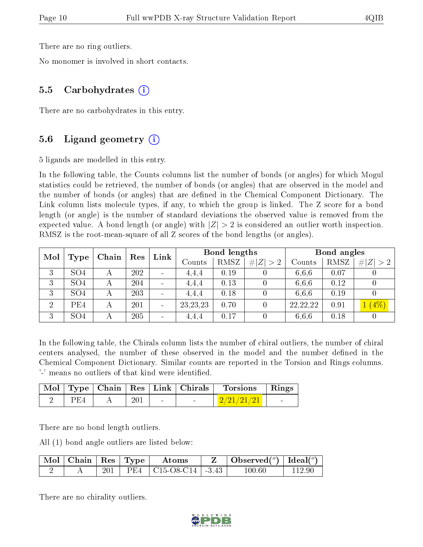There are no ring outliers.

No monomer is involved in short contacts.

#### 5.5 Carbohydrates (i)

There are no carbohydrates in this entry.

#### 5.6 Ligand geometry (i)

5 ligands are modelled in this entry.

In the following table, the Counts columns list the number of bonds (or angles) for which Mogul statistics could be retrieved, the number of bonds (or angles) that are observed in the model and the number of bonds (or angles) that are defined in the Chemical Component Dictionary. The Link column lists molecule types, if any, to which the group is linked. The Z score for a bond length (or angle) is the number of standard deviations the observed value is removed from the expected value. A bond length (or angle) with  $|Z| > 2$  is considered an outlier worth inspection. RMSZ is the root-mean-square of all Z scores of the bond lengths (or angles).

|                |                 |       |     | Link |            | <b>Bond lengths</b> |           |            | Bond angles |             |
|----------------|-----------------|-------|-----|------|------------|---------------------|-----------|------------|-------------|-------------|
| Mol            | <b>Type</b>     | Chain | Res |      | Counts     | RMSZ                | Z  <br>>2 | Counts     | RMSZ        | #!<br> Z >2 |
| 3              | SO <sub>4</sub> |       | 202 |      | 4,4,4      | 0.19                |           | 6,6,6      | 0.07        |             |
| 3              | SO <sub>4</sub> |       | 204 |      | 4,4,4      | 0.13                |           | 6,6,6      | 0.12        |             |
| 3              | SO <sub>4</sub> |       | 203 |      | 4,4,4      | 0.18                |           | 6,6,6      | 0.19        |             |
| $\overline{2}$ | PE4             |       | 201 |      | 23, 23, 23 | 0.70                |           | 22, 22, 22 | 0.91        | $(4\%)$     |
| 3              | SO <sub>4</sub> |       | 205 |      | 4,4,4      | 0.17                |           | 6.6.6      | 0.18        |             |

In the following table, the Chirals column lists the number of chiral outliers, the number of chiral centers analysed, the number of these observed in the model and the number defined in the Chemical Component Dictionary. Similar counts are reported in the Torsion and Rings columns. '-' means no outliers of that kind were identified.

|     |     |        | Mol   Type   Chain   Res   Link   Chirals | Torsions   Rings |  |
|-----|-----|--------|-------------------------------------------|------------------|--|
| PE4 | 201 | $\sim$ | $\sim$                                    | $+2/21/21/21$    |  |

There are no bond length outliers.

All (1) bond angle outliers are listed below:

| Mol | $\vert$ Chain $\vert$ Res $\vert$ Type |     | Atoms                                                                | $\bullet$ Observed( $^o$ )   Ideal( $^o$ ) |  |
|-----|----------------------------------------|-----|----------------------------------------------------------------------|--------------------------------------------|--|
|     |                                        | PFA | $\mid$ C <sub>15</sub> -O <sub>8</sub> -C <sub>14</sub> $\mid$ -3.43 | $100.60\,$                                 |  |

There are no chirality outliers.

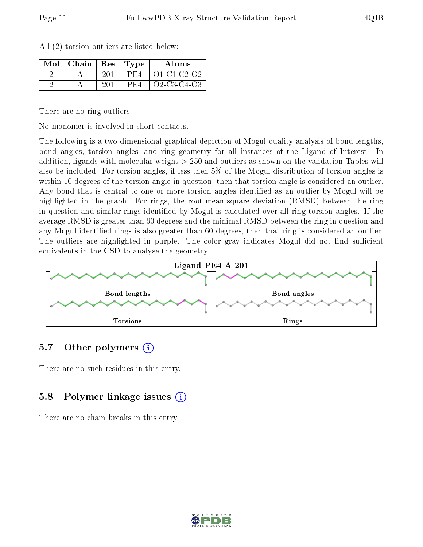| $Mol$   Chain   Res |     | $\vert$ Type | Atoms                                                |
|---------------------|-----|--------------|------------------------------------------------------|
|                     | 201 | PE4          | O1-C1-C2-O2                                          |
|                     | 201 | PE4          | $O2$ -C <sub>3</sub> -C <sub>4</sub> -O <sub>3</sub> |

All (2) torsion outliers are listed below:

There are no ring outliers.

No monomer is involved in short contacts.

The following is a two-dimensional graphical depiction of Mogul quality analysis of bond lengths, bond angles, torsion angles, and ring geometry for all instances of the Ligand of Interest. In addition, ligands with molecular weight > 250 and outliers as shown on the validation Tables will also be included. For torsion angles, if less then 5% of the Mogul distribution of torsion angles is within 10 degrees of the torsion angle in question, then that torsion angle is considered an outlier. Any bond that is central to one or more torsion angles identified as an outlier by Mogul will be highlighted in the graph. For rings, the root-mean-square deviation (RMSD) between the ring in question and similar rings identified by Mogul is calculated over all ring torsion angles. If the average RMSD is greater than 60 degrees and the minimal RMSD between the ring in question and any Mogul-identified rings is also greater than 60 degrees, then that ring is considered an outlier. The outliers are highlighted in purple. The color gray indicates Mogul did not find sufficient equivalents in the CSD to analyse the geometry.



#### 5.7 [O](https://www.wwpdb.org/validation/2017/XrayValidationReportHelp#nonstandard_residues_and_ligands)ther polymers (i)

There are no such residues in this entry.

#### 5.8 Polymer linkage issues (i)

There are no chain breaks in this entry.

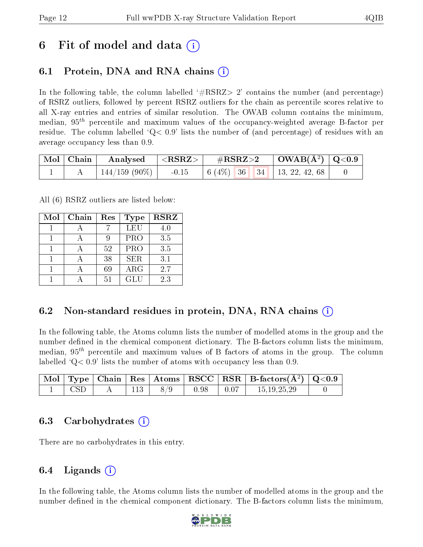### 6 Fit of model and data  $\left( \cdot \right)$

### 6.1 Protein, DNA and RNA chains (i)

In the following table, the column labelled  $#RSRZ>2'$  contains the number (and percentage) of RSRZ outliers, followed by percent RSRZ outliers for the chain as percentile scores relative to all X-ray entries and entries of similar resolution. The OWAB column contains the minimum, median,  $95<sup>th</sup>$  percentile and maximum values of the occupancy-weighted average B-factor per residue. The column labelled  $Q< 0.9$  lists the number of (and percentage) of residues with an average occupancy less than 0.9.

|  | $\begin{array}{ c c c c }\hline \text{Mol} & \text{Chain} & \text{Analysed} & <\text{RSRZ}> \hline \end{array}$ |  |  |  |  |
|--|-----------------------------------------------------------------------------------------------------------------|--|--|--|--|
|  | $144/159$ (90%)   -0.15   6 (4%)   36   34   13, 22, 42, 68                                                     |  |  |  |  |

All (6) RSRZ outliers are listed below:

| Mol | Chain<br>Res |    | <b>Type</b> | <b>RSRZ</b> |  |
|-----|--------------|----|-------------|-------------|--|
|     |              |    | LEU         | 4.0         |  |
|     |              |    | <b>PRO</b>  | 3.5         |  |
|     |              | 52 | PRO         | 3.5         |  |
|     |              | 38 | <b>SER</b>  | 3.1         |  |
|     |              | 69 | ARG         | 2.7         |  |
|     |              | 51 | GLU         | 2.3         |  |

#### 6.2 Non-standard residues in protein, DNA, RNA chains (i)

In the following table, the Atoms column lists the number of modelled atoms in the group and the number defined in the chemical component dictionary. The B-factors column lists the minimum, median,  $95<sup>th</sup>$  percentile and maximum values of B factors of atoms in the group. The column labelled  $Q< 0.9$  lists the number of atoms with occupancy less than 0.9.

|            |     |        |      |      | $\mid$ Mol $\mid$ Type $\mid$ Chain $\mid$ Res $\mid$ Atoms $\mid$ RSCC $\mid$ RSR $\mid$ B-factors(A <sup>2</sup> ) $\mid$ Q<0.9 |  |
|------------|-----|--------|------|------|-----------------------------------------------------------------------------------------------------------------------------------|--|
| <b>CSD</b> | 113 | $-8/9$ | 0.98 | 0.07 | 15.19.25.29                                                                                                                       |  |

#### 6.3 Carbohydrates (i)

There are no carbohydrates in this entry.

### $6.4$  Ligands  $(i)$

In the following table, the Atoms column lists the number of modelled atoms in the group and the number defined in the chemical component dictionary. The B-factors column lists the minimum,

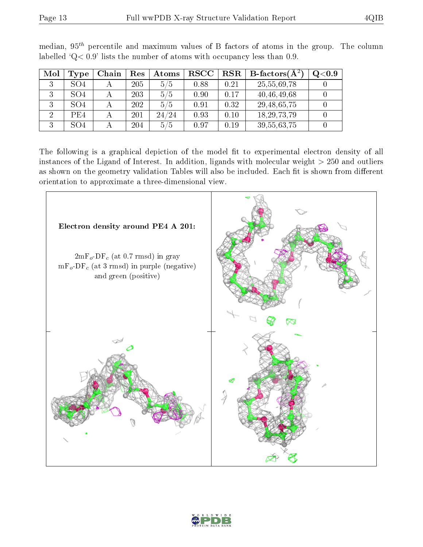|--|

| Mol | Type            | Chain | Res | Atoms | $_{\rm RSCC}$ | RSR  | $\parallel$ $\operatorname{B-factors} (\operatorname{A}^2)$ | Q <sub>0.9</sub> |
|-----|-----------------|-------|-----|-------|---------------|------|-------------------------------------------------------------|------------------|
|     | SO4             |       | 205 | 5/5   | 0.88          | 0.21 | 25,55,69,78                                                 |                  |
|     | SO <sub>4</sub> |       | 203 | 5/5   | 0.90          | 0.17 | 40,46,49,68                                                 |                  |
|     | SO <sub>4</sub> |       | 202 | 5/5   | 0.91          | 0.32 | 29, 48, 65, 75                                              |                  |
|     | PE4             |       | 201 | 24/24 | 0.93          | 0.10 | 18, 29, 73, 79                                              |                  |
| ച   | SO4             |       | 204 | 5/5   | 0.97          | 0.19 | 39, 55, 63, 75                                              |                  |

median,  $95<sup>th</sup>$  percentile and maximum values of B factors of atoms in the group. The column labelled ' $Q< 0.9$ ' lists the number of atoms with occupancy less than 0.9.

The following is a graphical depiction of the model fit to experimental electron density of all instances of the Ligand of Interest. In addition, ligands with molecular weight  $> 250$  and outliers as shown on the geometry validation Tables will also be included. Each fit is shown from different orientation to approximate a three-dimensional view.